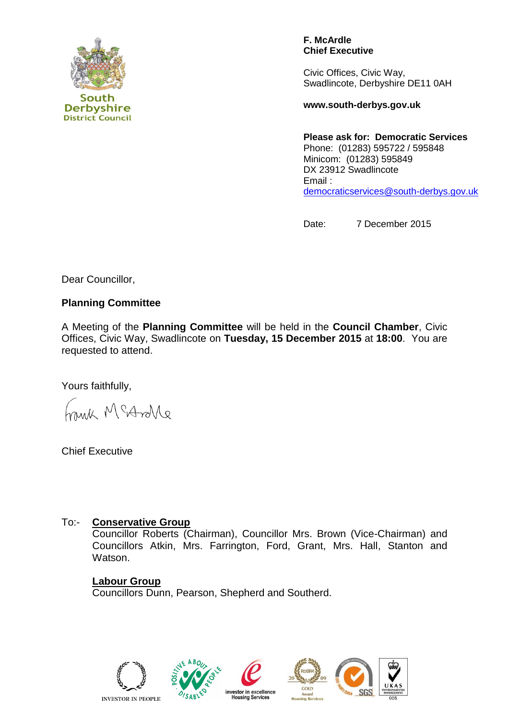

**F. McArdle Chief Executive**

Civic Offices, Civic Way, Swadlincote, Derbyshire DE11 0AH

**www.south-derbys.gov.uk**

**Please ask for: Democratic Services** Phone: (01283) 595722 / 595848 Minicom: (01283) 595849 DX 23912 Swadlincote Email : [democraticservices@south-derbys.gov.uk](mailto:democraticservices@south-derbys.gov.uk)

Date: 7 December 2015

Dear Councillor,

# **Planning Committee**

A Meeting of the **Planning Committee** will be held in the **Council Chamber**, Civic Offices, Civic Way, Swadlincote on **Tuesday, 15 December 2015** at **18:00**. You are requested to attend.

Yours faithfully,

eNorto M Shin

Chief Executive

## To:- **Conservative Group**

Councillor Roberts (Chairman), Councillor Mrs. Brown (Vice-Chairman) and Councillors Atkin, Mrs. Farrington, Ford, Grant, Mrs. Hall, Stanton and Watson.

## **Labour Group**

Councillors Dunn, Pearson, Shepherd and Southerd.